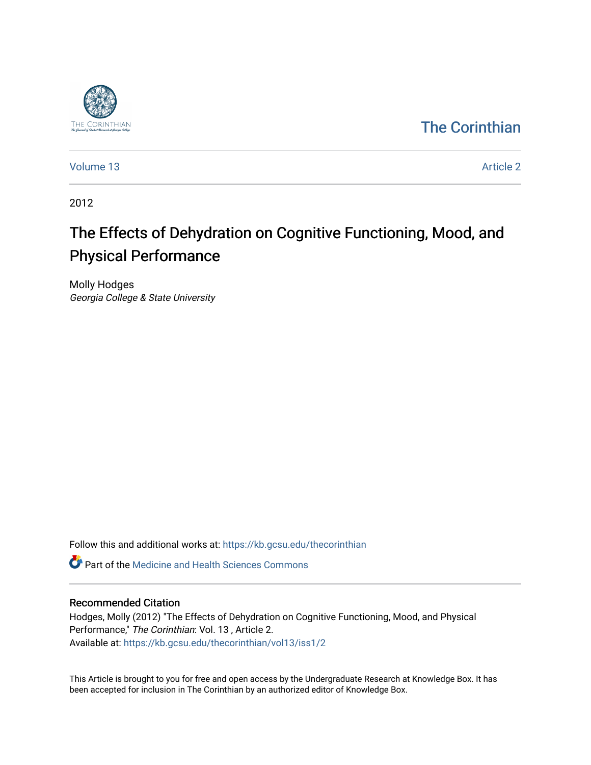

# [The Corinthian](https://kb.gcsu.edu/thecorinthian)

[Volume 13](https://kb.gcsu.edu/thecorinthian/vol13) Article 2

2012

# The Effects of Dehydration on Cognitive Functioning, Mood, and Physical Performance

Molly Hodges Georgia College & State University

Follow this and additional works at: [https://kb.gcsu.edu/thecorinthian](https://kb.gcsu.edu/thecorinthian?utm_source=kb.gcsu.edu%2Fthecorinthian%2Fvol13%2Fiss1%2F2&utm_medium=PDF&utm_campaign=PDFCoverPages) 

**C** Part of the Medicine and Health Sciences Commons

# Recommended Citation

Hodges, Molly (2012) "The Effects of Dehydration on Cognitive Functioning, Mood, and Physical Performance," The Corinthian: Vol. 13 , Article 2. Available at: [https://kb.gcsu.edu/thecorinthian/vol13/iss1/2](https://kb.gcsu.edu/thecorinthian/vol13/iss1/2?utm_source=kb.gcsu.edu%2Fthecorinthian%2Fvol13%2Fiss1%2F2&utm_medium=PDF&utm_campaign=PDFCoverPages) 

This Article is brought to you for free and open access by the Undergraduate Research at Knowledge Box. It has been accepted for inclusion in The Corinthian by an authorized editor of Knowledge Box.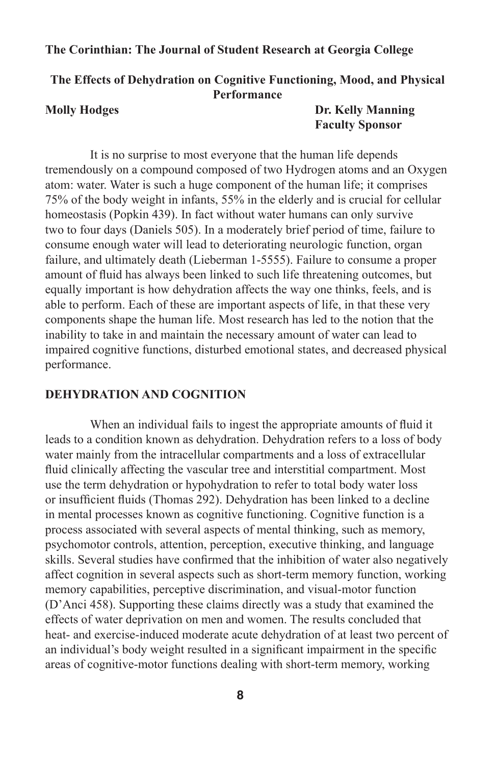# **The Effects of Dehydration on Cognitive Functioning, Mood, and Physical Performance**

**Molly Hodges Dr. Kelly Manning Faculty Sponsor**

It is no surprise to most everyone that the human life depends tremendously on a compound composed of two Hydrogen atoms and an Oxygen atom: water. Water is such a huge component of the human life; it comprises 75% of the body weight in infants, 55% in the elderly and is crucial for cellular homeostasis (Popkin 439). In fact without water humans can only survive two to four days (Daniels 505). In a moderately brief period of time, failure to consume enough water will lead to deteriorating neurologic function, organ failure, and ultimately death (Lieberman 1-5555). Failure to consume a proper amount of fluid has always been linked to such life threatening outcomes, but equally important is how dehydration affects the way one thinks, feels, and is able to perform. Each of these are important aspects of life, in that these very components shape the human life. Most research has led to the notion that the inability to take in and maintain the necessary amount of water can lead to impaired cognitive functions, disturbed emotional states, and decreased physical performance.

# **DEHYDRATION AND COGNITION**

When an individual fails to ingest the appropriate amounts of fluid it leads to a condition known as dehydration. Dehydration refers to a loss of body water mainly from the intracellular compartments and a loss of extracellular fluid clinically affecting the vascular tree and interstitial compartment. Most use the term dehydration or hypohydration to refer to total body water loss or insufficient fluids (Thomas 292). Dehydration has been linked to a decline in mental processes known as cognitive functioning. Cognitive function is a process associated with several aspects of mental thinking, such as memory, psychomotor controls, attention, perception, executive thinking, and language skills. Several studies have confirmed that the inhibition of water also negatively affect cognition in several aspects such as short-term memory function, working memory capabilities, perceptive discrimination, and visual-motor function (D'Anci 458). Supporting these claims directly was a study that examined the effects of water deprivation on men and women. The results concluded that heat- and exercise-induced moderate acute dehydration of at least two percent of an individual's body weight resulted in a significant impairment in the specific areas of cognitive-motor functions dealing with short-term memory, working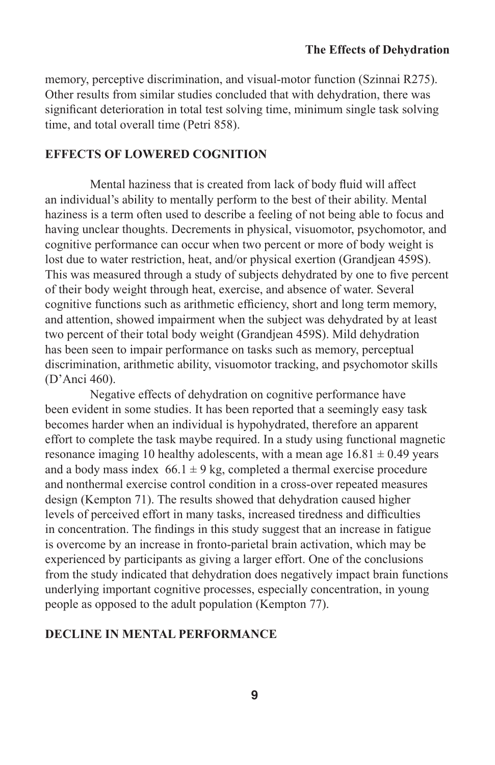memory, perceptive discrimination, and visual-motor function (Szinnai R275). Other results from similar studies concluded that with dehydration, there was significant deterioration in total test solving time, minimum single task solving time, and total overall time (Petri 858).

#### **EFFECTS OF LOWERED COGNITION**

Mental haziness that is created from lack of body fluid will affect an individual's ability to mentally perform to the best of their ability. Mental haziness is a term often used to describe a feeling of not being able to focus and having unclear thoughts. Decrements in physical, visuomotor, psychomotor, and cognitive performance can occur when two percent or more of body weight is lost due to water restriction, heat, and/or physical exertion (Grandiean 459S). This was measured through a study of subjects dehydrated by one to five percent of their body weight through heat, exercise, and absence of water. Several cognitive functions such as arithmetic efficiency, short and long term memory, and attention, showed impairment when the subject was dehydrated by at least two percent of their total body weight (Grandjean 459S). Mild dehydration has been seen to impair performance on tasks such as memory, perceptual discrimination, arithmetic ability, visuomotor tracking, and psychomotor skills (D'Anci 460).

Negative effects of dehydration on cognitive performance have been evident in some studies. It has been reported that a seemingly easy task becomes harder when an individual is hypohydrated, therefore an apparent effort to complete the task maybe required. In a study using functional magnetic resonance imaging 10 healthy adolescents, with a mean age  $16.81 \pm 0.49$  years and a body mass index  $66.1 \pm 9$  kg, completed a thermal exercise procedure and nonthermal exercise control condition in a cross-over repeated measures design (Kempton 71). The results showed that dehydration caused higher levels of perceived effort in many tasks, increased tiredness and difficulties in concentration. The findings in this study suggest that an increase in fatigue is overcome by an increase in fronto-parietal brain activation, which may be experienced by participants as giving a larger effort. One of the conclusions from the study indicated that dehydration does negatively impact brain functions underlying important cognitive processes, especially concentration, in young people as opposed to the adult population (Kempton 77).

# **DECLINE IN MENTAL PERFORMANCE**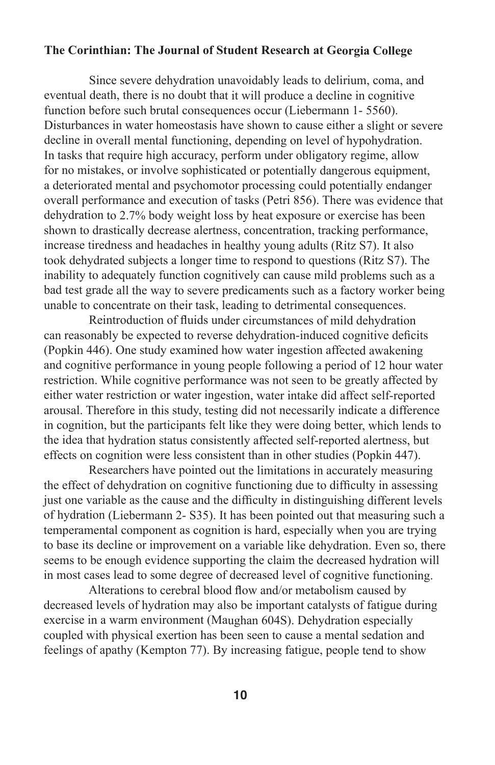Since severe dehydration unavoidably leads to delirium, coma, and eventual death, there is no doubt that it will produce a decline in cognitive function before such brutal consequences occur (Liebermann 1- 5560). Disturbances in water homeostasis have shown to cause either a slight or severe decline in overall mental functioning, depending on level of hypohydration. In tasks that require high accuracy, perform under obligatory regime, allow for no mistakes, or involve sophisticated or potentially dangerous equipment, a deteriorated mental and psychomotor processing could potentially endanger overall performance and execution of tasks (Petri 856). There was evidence that dehydration to 2.7% body weight loss by heat exposure or exercise has been shown to drastically decrease alertness, concentration, tracking performance, increase tiredness and headaches in healthy young adults (Ritz S7). It also took dehydrated subjects a longer time to respond to questions (Ritz S7). The inability to adequately function cognitively can cause mild problems such as a bad test grade all the way to severe predicaments such as a factory worker being unable to concentrate on their task, leading to detrimental consequences.

Reintroduction of fluids under circumstances of mild dehydration can reasonably be expected to reverse dehydration-induced cognitive deficits (Popkin 446). One study examined how water ingestion affected awakening and cognitive performance in young people following a period of 12 hour water restriction. While cognitive performance was not seen to be greatly affected by either water restriction or water ingestion, water intake did affect self-reported arousal. Therefore in this study, testing did not necessarily indicate a difference in cognition, but the participants felt like they were doing better, which lends to the idea that hydration status consistently affected self-reported alertness, but effects on cognition were less consistent than in other studies (Popkin 447).

Researchers have pointed out the limitations in accurately measuring the effect of dehydration on cognitive functioning due to difficulty in assessing just one variable as the cause and the difficulty in distinguishing different levels of hydration (Liebermann 2- S35). It has been pointed out that measuring such a temperamental component as cognition is hard, especially when you are trying to base its decline or improvement on a variable like dehydration. Even so, there seems to be enough evidence supporting the claim the decreased hydration will in most cases lead to some degree of decreased level of cognitive functioning.

Alterations to cerebral blood flow and/or metabolism caused by decreased levels of hydration may also be important catalysts of fatigue during exercise in a warm environment (Maughan 604S). Dehydration especially coupled with physical exertion has been seen to cause a mental sedation and feelings of apathy (Kempton 77). By increasing fatigue, people tend to show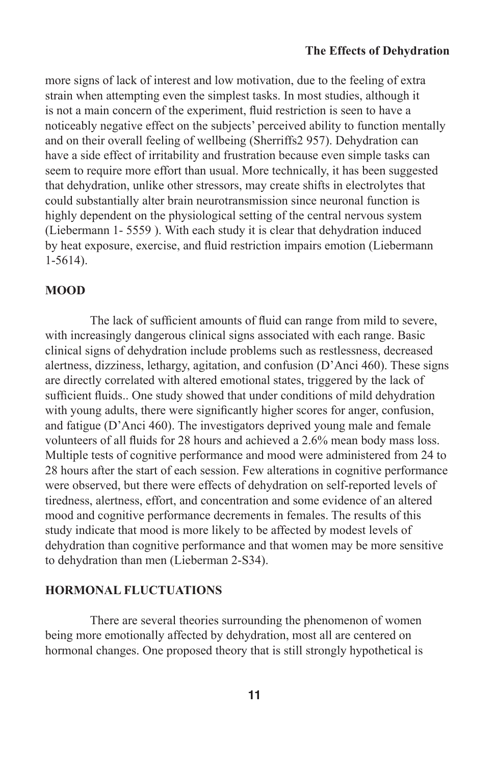more signs of lack of interest and low motivation, due to the feeling of extra strain when attempting even the simplest tasks. In most studies, although it is not a main concern of the experiment, fluid restriction is seen to have a noticeably negative effect on the subjects' perceived ability to function mentally and on their overall feeling of wellbeing (Sherriffs2 957). Dehydration can have a side effect of irritability and frustration because even simple tasks can seem to require more effort than usual. More technically, it has been suggested that dehydration, unlike other stressors, may create shifts in electrolytes that could substantially alter brain neurotransmission since neuronal function is highly dependent on the physiological setting of the central nervous system (Liebermann 1- 5559 ). With each study it is clear that dehydration induced by heat exposure, exercise, and fluid restriction impairs emotion (Liebermann 1-5614).

#### **MOOD**

The lack of sufficient amounts of fluid can range from mild to severe, with increasingly dangerous clinical signs associated with each range. Basic clinical signs of dehydration include problems such as restlessness, decreased alertness, dizziness, lethargy, agitation, and confusion (D'Anci 460). These signs are directly correlated with altered emotional states, triggered by the lack of sufficient fluids.. One study showed that under conditions of mild dehydration with young adults, there were significantly higher scores for anger, confusion, and fatigue (D'Anci 460). The investigators deprived young male and female volunteers of all fluids for 28 hours and achieved a 2.6% mean body mass loss. Multiple tests of cognitive performance and mood were administered from 24 to 28 hours after the start of each session. Few alterations in cognitive performance were observed, but there were effects of dehydration on self-reported levels of tiredness, alertness, effort, and concentration and some evidence of an altered mood and cognitive performance decrements in females. The results of this study indicate that mood is more likely to be affected by modest levels of dehydration than cognitive performance and that women may be more sensitive to dehydration than men (Lieberman 2-S34).

#### **HORMONAL FLUCTUATIONS**

There are several theories surrounding the phenomenon of women being more emotionally affected by dehydration, most all are centered on hormonal changes. One proposed theory that is still strongly hypothetical is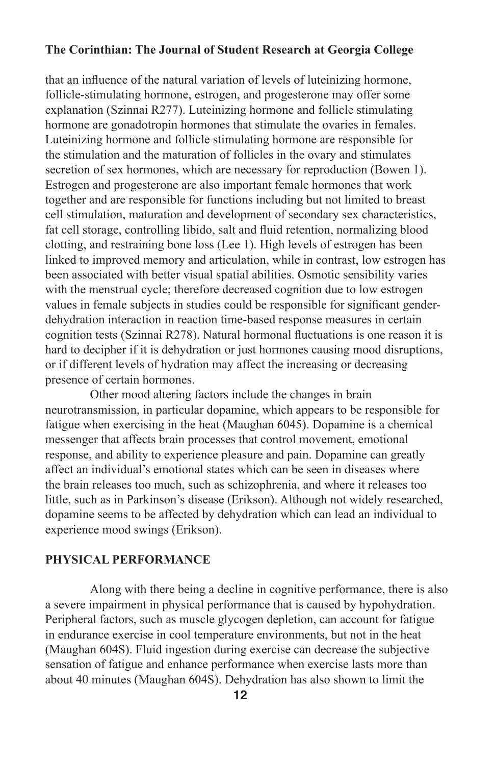that an influence of the natural variation of levels of luteinizing hormone, follicle-stimulating hormone, estrogen, and progesterone may offer some explanation (Szinnai R277). Luteinizing hormone and follicle stimulating hormone are gonadotropin hormones that stimulate the ovaries in females. Luteinizing hormone and follicle stimulating hormone are responsible for the stimulation and the maturation of follicles in the ovary and stimulates secretion of sex hormones, which are necessary for reproduction (Bowen 1). Estrogen and progesterone are also important female hormones that work together and are responsible for functions including but not limited to breast cell stimulation, maturation and development of secondary sex characteristics, fat cell storage, controlling libido, salt and fluid retention, normalizing blood clotting, and restraining bone loss (Lee 1). High levels of estrogen has been linked to improved memory and articulation, while in contrast, low estrogen has been associated with better visual spatial abilities. Osmotic sensibility varies with the menstrual cycle; therefore decreased cognition due to low estrogen values in female subjects in studies could be responsible for significant genderdehydration interaction in reaction time-based response measures in certain cognition tests (Szinnai R278). Natural hormonal fluctuations is one reason it is hard to decipher if it is dehydration or just hormones causing mood disruptions, or if different levels of hydration may affect the increasing or decreasing presence of certain hormones.

Other mood altering factors include the changes in brain neurotransmission, in particular dopamine, which appears to be responsible for fatigue when exercising in the heat (Maughan 6045). Dopamine is a chemical messenger that affects brain processes that control movement, emotional response, and ability to experience pleasure and pain. Dopamine can greatly affect an individual's emotional states which can be seen in diseases where the brain releases too much, such as schizophrenia, and where it releases too little, such as in Parkinson's disease (Erikson). Although not widely researched, dopamine seems to be affected by dehydration which can lead an individual to experience mood swings (Erikson).

#### **PHYSICAL PERFORMANCE**

Along with there being a decline in cognitive performance, there is also a severe impairment in physical performance that is caused by hypohydration. Peripheral factors, such as muscle glycogen depletion, can account for fatigue in endurance exercise in cool temperature environments, but not in the heat (Maughan 604S). Fluid ingestion during exercise can decrease the subjective sensation of fatigue and enhance performance when exercise lasts more than about 40 minutes (Maughan 604S). Dehydration has also shown to limit the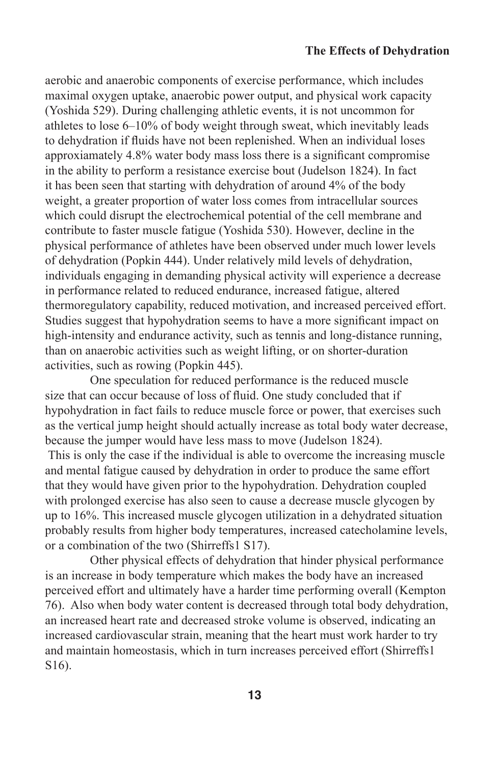#### **The Effects of Dehydration**

aerobic and anaerobic components of exercise performance, which includes maximal oxygen uptake, anaerobic power output, and physical work capacity (Yoshida 529). During challenging athletic events, it is not uncommon for athletes to lose 6–10% of body weight through sweat, which inevitably leads to dehydration if fluids have not been replenished. When an individual loses approxiamately 4.8% water body mass loss there is a significant compromise in the ability to perform a resistance exercise bout (Judelson 1824). In fact it has been seen that starting with dehydration of around 4% of the body weight, a greater proportion of water loss comes from intracellular sources which could disrupt the electrochemical potential of the cell membrane and contribute to faster muscle fatigue (Yoshida 530). However, decline in the physical performance of athletes have been observed under much lower levels of dehydration (Popkin 444). Under relatively mild levels of dehydration, individuals engaging in demanding physical activity will experience a decrease in performance related to reduced endurance, increased fatigue, altered thermoregulatory capability, reduced motivation, and increased perceived effort. Studies suggest that hypohydration seems to have a more significant impact on high-intensity and endurance activity, such as tennis and long-distance running, than on anaerobic activities such as weight lifting, or on shorter-duration activities, such as rowing (Popkin 445).

One speculation for reduced performance is the reduced muscle size that can occur because of loss of fluid. One study concluded that if hypohydration in fact fails to reduce muscle force or power, that exercises such as the vertical jump height should actually increase as total body water decrease, because the jumper would have less mass to move (Judelson 1824).

 This is only the case if the individual is able to overcome the increasing muscle and mental fatigue caused by dehydration in order to produce the same effort that they would have given prior to the hypohydration. Dehydration coupled with prolonged exercise has also seen to cause a decrease muscle glycogen by up to 16%. This increased muscle glycogen utilization in a dehydrated situation probably results from higher body temperatures, increased catecholamine levels, or a combination of the two (Shirreffs1 S17).

Other physical effects of dehydration that hinder physical performance is an increase in body temperature which makes the body have an increased perceived effort and ultimately have a harder time performing overall (Kempton 76). Also when body water content is decreased through total body dehydration, an increased heart rate and decreased stroke volume is observed, indicating an increased cardiovascular strain, meaning that the heart must work harder to try and maintain homeostasis, which in turn increases perceived effort (Shirreffs1 S16).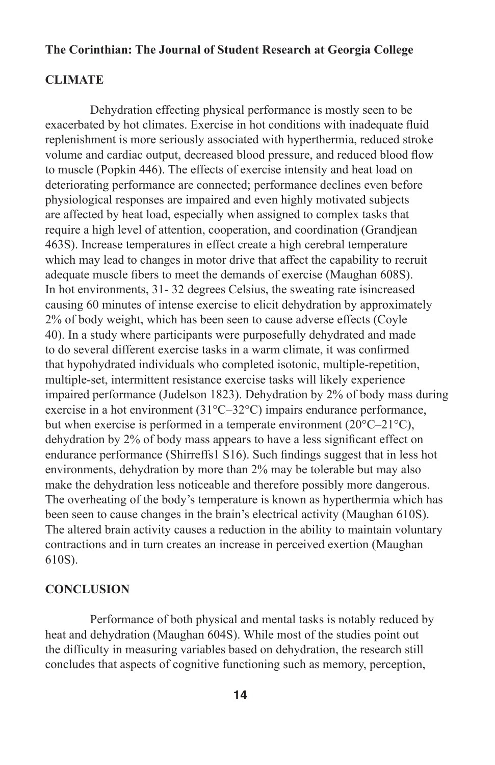#### **CLIMATE**

Dehydration effecting physical performance is mostly seen to be exacerbated by hot climates. Exercise in hot conditions with inadequate fluid replenishment is more seriously associated with hyperthermia, reduced stroke volume and cardiac output, decreased blood pressure, and reduced blood flow to muscle (Popkin 446). The effects of exercise intensity and heat load on deteriorating performance are connected; performance declines even before physiological responses are impaired and even highly motivated subjects are affected by heat load, especially when assigned to complex tasks that require a high level of attention, cooperation, and coordination (Grandjean 463S). Increase temperatures in effect create a high cerebral temperature which may lead to changes in motor drive that affect the capability to recruit adequate muscle fibers to meet the demands of exercise (Maughan 608S). In hot environments, 31- 32 degrees Celsius, the sweating rate isincreased causing 60 minutes of intense exercise to elicit dehydration by approximately 2% of body weight, which has been seen to cause adverse effects (Coyle 40). In a study where participants were purposefully dehydrated and made to do several different exercise tasks in a warm climate, it was confirmed that hypohydrated individuals who completed isotonic, multiple-repetition, multiple-set, intermittent resistance exercise tasks will likely experience impaired performance (Judelson 1823). Dehydration by 2% of body mass during exercise in a hot environment (31°C–32°C) impairs endurance performance, but when exercise is performed in a temperate environment (20°C–21°C), dehydration by 2% of body mass appears to have a less significant effect on endurance performance (Shirreffs1 S16). Such findings suggest that in less hot environments, dehydration by more than 2% may be tolerable but may also make the dehydration less noticeable and therefore possibly more dangerous. The overheating of the body's temperature is known as hyperthermia which has been seen to cause changes in the brain's electrical activity (Maughan 610S). The altered brain activity causes a reduction in the ability to maintain voluntary contractions and in turn creates an increase in perceived exertion (Maughan 610S).

#### **CONCLUSION**

Performance of both physical and mental tasks is notably reduced by heat and dehydration (Maughan 604S). While most of the studies point out the difficulty in measuring variables based on dehydration, the research still concludes that aspects of cognitive functioning such as memory, perception,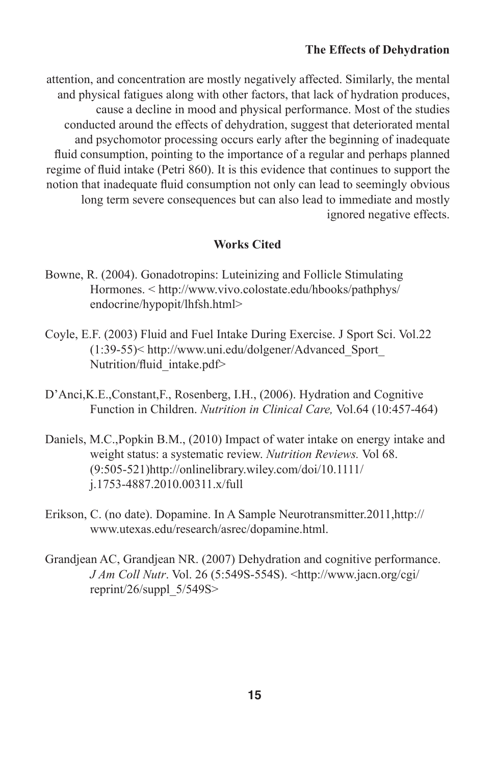### **The Effects of Dehydration**

attention, and concentration are mostly negatively affected. Similarly, the mental and physical fatigues along with other factors, that lack of hydration produces, cause a decline in mood and physical performance. Most of the studies conducted around the effects of dehydration, suggest that deteriorated mental and psychomotor processing occurs early after the beginning of inadequate fluid consumption, pointing to the importance of a regular and perhaps planned regime of fluid intake (Petri 860). It is this evidence that continues to support the notion that inadequate fluid consumption not only can lead to seemingly obvious long term severe consequences but can also lead to immediate and mostly ignored negative effects.

# **Works Cited**

- Bowne, R. (2004). Gonadotropins: Luteinizing and Follicle Stimulating Hormones. < http://www.vivo.colostate.edu/hbooks/pathphys/ endocrine/hypopit/lhfsh.html>
- Coyle, E.F. (2003) Fluid and Fuel Intake During Exercise. J Sport Sci. Vol.22 (1:39-55)< http://www.uni.edu/dolgener/Advanced\_Sport\_ Nutrition/fluid\_intake.pdf>
- D'Anci,K.E.,Constant,F., Rosenberg, I.H., (2006). Hydration and Cognitive Function in Children. *Nutrition in Clinical Care,* Vol.64 (10:457-464)
- Daniels, M.C.,Popkin B.M., (2010) Impact of water intake on energy intake and weight status: a systematic review. *Nutrition Reviews.* Vol 68. (9:505-521)http://onlinelibrary.wiley.com/doi/10.1111/ j.1753-4887.2010.00311.x/full
- Erikson, C. (no date). Dopamine. In A Sample Neurotransmitter.2011,http:// www.utexas.edu/research/asrec/dopamine.html.
- Grandjean AC, Grandjean NR. (2007) Dehydration and cognitive performance. *J Am Coll Nutr*. Vol. 26 (5:549S-554S). <http://www.jacn.org/cgi/ reprint/26/suppl\_5/549S>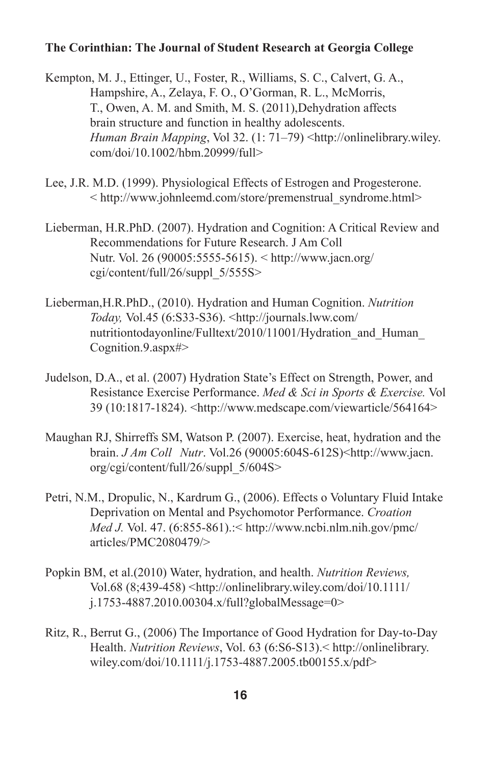Kempton, M. J., Ettinger, U., Foster, R., Williams, S. C., Calvert, G. A., Hampshire, A., Zelaya, F. O., O'Gorman, R. L., McMorris, T., Owen, A. M. and Smith, M. S. (2011),Dehydration affects brain structure and function in healthy adolescents. *Human Brain Mapping*, Vol 32. (1: 71–79) <http://onlinelibrary.wiley. com/doi/10.1002/hbm.20999/full>

- Lee, J.R. M.D. (1999). Physiological Effects of Estrogen and Progesterone. < http://www.johnleemd.com/store/premenstrual\_syndrome.html>
- Lieberman, H.R.PhD. (2007). Hydration and Cognition: A Critical Review and Recommendations for Future Research. J Am Coll Nutr. Vol. 26 (90005:5555-5615). < http://www.jacn.org/ cgi/content/full/26/suppl\_5/555S>
- Lieberman,H.R.PhD., (2010). Hydration and Human Cognition. *Nutrition Today,* Vol.45 (6:S33-S36). <http://journals.lww.com/ nutritiontodayonline/Fulltext/2010/11001/Hydration\_and\_Human\_ Cognition.9.aspx#>
- Judelson, D.A., et al. (2007) Hydration State's Effect on Strength, Power, and Resistance Exercise Performance. *Med & Sci in Sports & Exercise.* Vol 39 (10:1817-1824). <http://www.medscape.com/viewarticle/564164>
- Maughan RJ, Shirreffs SM, Watson P. (2007). Exercise, heat, hydration and the brain. *J Am Coll Nutr*. Vol.26 (90005:604S-612S)<http://www.jacn. org/cgi/content/full/26/suppl\_5/604S>
- Petri, N.M., Dropulic, N., Kardrum G., (2006). Effects o Voluntary Fluid Intake Deprivation on Mental and Psychomotor Performance. *Croation Med J.* Vol. 47. (6:855-861).:< http://www.ncbi.nlm.nih.gov/pmc/ articles/PMC2080479/>
- Popkin BM, et al.(2010) Water, hydration, and health. *Nutrition Reviews,*  Vol.68 (8;439-458) <http://onlinelibrary.wiley.com/doi/10.1111/ j.1753-4887.2010.00304.x/full?globalMessage=0>
- Ritz, R., Berrut G., (2006) The Importance of Good Hydration for Day-to-Day Health. *Nutrition Reviews*, Vol. 63 (6:S6-S13).< http://onlinelibrary. wiley.com/doi/10.1111/j.1753-4887.2005.tb00155.x/pdf>